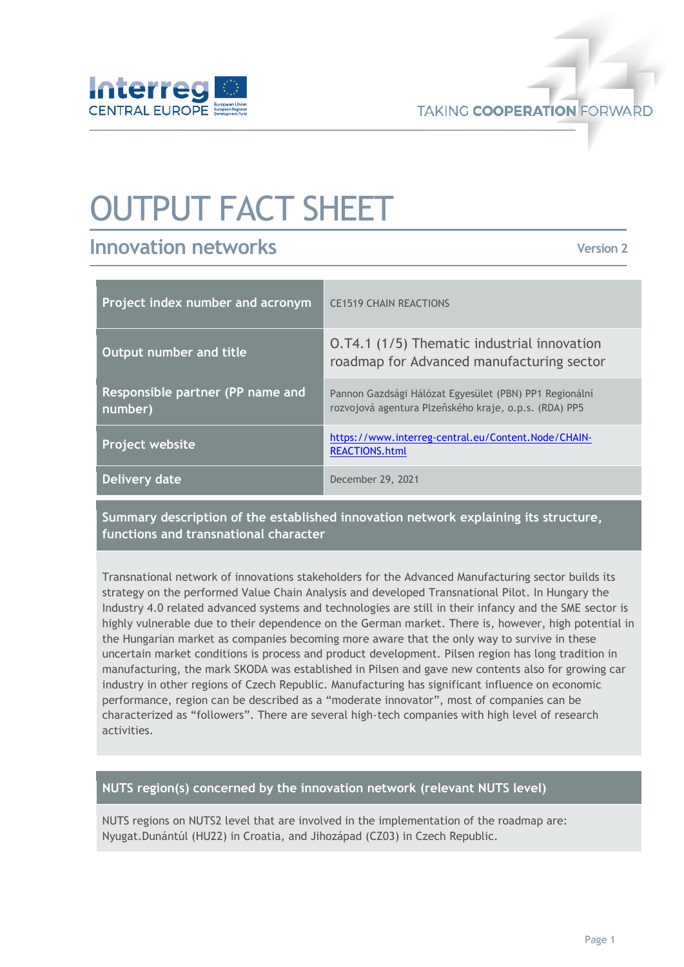

# OUTPUT FACT SHEET

## **Innovation networks**

**Version 2**

| Project index number and acronym            | <b>CE1519 CHAIN REACTIONS</b>                                                                                   |
|---------------------------------------------|-----------------------------------------------------------------------------------------------------------------|
| Output number and title                     | 0.74.1 (1/5) Thematic industrial innovation<br>roadmap for Advanced manufacturing sector                        |
| Responsible partner (PP name and<br>number) | Pannon Gazdsági Hálózat Egyesület (PBN) PP1 Regionální<br>rozvojová agentura Plzeňského kraje, o.p.s. (RDA) PP5 |
| Project website                             | https://www.interreg-central.eu/Content.Node/CHAIN-<br><b>REACTIONS.html</b>                                    |
| Delivery date                               | December 29, 2021                                                                                               |

**Summary description of the established innovation network explaining its structure, functions and transnational character** 

Transnational network of innovations stakeholders for the Advanced Manufacturing sector builds its strategy on the performed Value Chain Analysis and developed Transnational Pilot. In Hungary the Industry 4.0 related advanced systems and technologies are still in their infancy and the SME sector is highly vulnerable due to their dependence on the German market. There is, however, high potential in the Hungarian market as companies becoming more aware that the only way to survive in these uncertain market conditions is process and product development. Pilsen region has long tradition in manufacturing, the mark SKODA was established in Pilsen and gave new contents also for growing car industry in other regions of Czech Republic. Manufacturing has significant influence on economic performance, region can be described as a "moderate innovator", most of companies can be characterized as "followers". There are several high-tech companies with high level of research activities.

#### **NUTS region(s) concerned by the innovation network (relevant NUTS level)**

NUTS regions on NUTS2 level that are involved in the implementation of the roadmap are: Nyugat.Dunántúl (HU22) in Croatia, and Jihozápad (CZ03) in Czech Republic.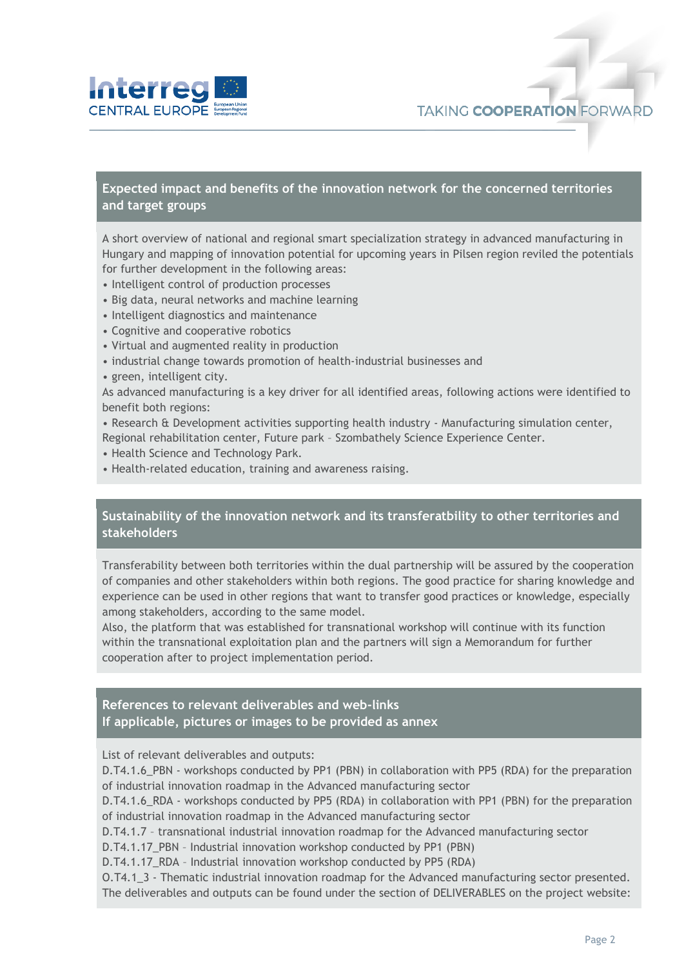

**Expected impact and benefits of the innovation network for the concerned territories and target groups**

A short overview of national and regional smart specialization strategy in advanced manufacturing in Hungary and mapping of innovation potential for upcoming years in Pilsen region reviled the potentials for further development in the following areas:

- Intelligent control of production processes
- Big data, neural networks and machine learning
- Intelligent diagnostics and maintenance
- Cognitive and cooperative robotics
- Virtual and augmented reality in production
- industrial change towards promotion of health-industrial businesses and
- green, intelligent city.

As advanced manufacturing is a key driver for all identified areas, following actions were identified to benefit both regions:

• Research & Development activities supporting health industry - Manufacturing simulation center, Regional rehabilitation center, Future park – Szombathely Science Experience Center.

- Health Science and Technology Park.
- Health-related education, training and awareness raising.

#### **Sustainability of the innovation network and its transferatbility to other territories and stakeholders**

Transferability between both territories within the dual partnership will be assured by the cooperation of companies and other stakeholders within both regions. The good practice for sharing knowledge and experience can be used in other regions that want to transfer good practices or knowledge, especially among stakeholders, according to the same model.

Also, the platform that was established for transnational workshop will continue with its function within the transnational exploitation plan and the partners will sign a Memorandum for further cooperation after to project implementation period.

### **References to relevant deliverables and web-links**

**If applicable, pictures or images to be provided as annex**

List of relevant deliverables and outputs:

D.T4.1.6\_PBN - workshops conducted by PP1 (PBN) in collaboration with PP5 (RDA) for the preparation of industrial innovation roadmap in the Advanced manufacturing sector

D.T4.1.6\_RDA - workshops conducted by PP5 (RDA) in collaboration with PP1 (PBN) for the preparation of industrial innovation roadmap in the Advanced manufacturing sector

D.T4.1.7 – transnational industrial innovation roadmap for the Advanced manufacturing sector

D.T4.1.17\_PBN – Industrial innovation workshop conducted by PP1 (PBN)

D.T4.1.17 RDA - Industrial innovation workshop conducted by PP5 (RDA)

O.T4.1\_3 - Thematic industrial innovation roadmap for the Advanced manufacturing sector presented. The deliverables and outputs can be found under the section of DELIVERABLES on the project website: